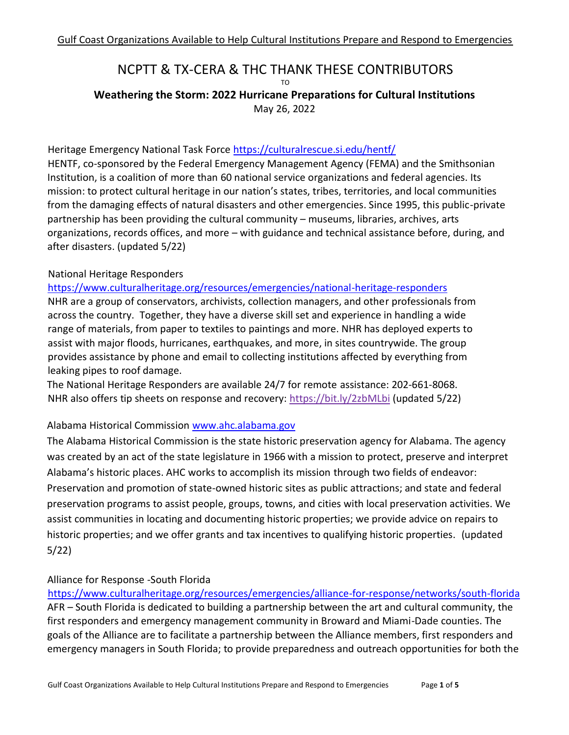# NCPTT & TX-CERA & THC THANK THESE CONTRIBUTORS

TO **Weathering the Storm: 2022 Hurricane Preparations for Cultural Institutions** May 26, 2022

# Heritage Emergency National Task Force https://culturalrescue.si.edu/hentf/

HENTF, co-sponsored by the Federal Emergency Management Agency (FEMA) and the Smithsonian Institution, is a coalition of more than 60 national service organizations and federal agencies. Its mission: to protect cultural heritage in our nation's states, tribes, territories, and local communities from the damaging effects of natural disasters and other emergencies. Since 1995, this public-private partnership has been providing the cultural community – museums, libraries, archives, arts organizations, records offices, and more – with guidance and technical assistance before, during, and after disasters. (updated 5/22)

## National Heritage Responders

#### <https://www.culturalheritage.org/resources/emergencies/national-heritage-responders>

NHR are a group of conservators, archivists, collection managers, and other professionals from across the country. Together, they have a diverse skill set and experience in handling a wide range of materials, from paper to textiles to paintings and more. NHR has deployed experts to assist with major floods, hurricanes, earthquakes, and more, in sites countrywide. The group provides assistance by phone and email to collecting institutions affected by everything from leaking pipes to roof damage.

The National Heritage Responders are available 24/7 for remote assistance: 202-661-8068. NHR also offers tip sheets on response and recovery: https://bit.ly/2zbMLbi (updated 5/22)

#### Alabama Historical Commission [www.ahc.alabama.gov](http://www.ahc.alabama.gov/)

The Alabama Historical Commission is the state historic preservation agency for Alabama. The agency was created by an act of the state legislature in 1966 with a mission to protect, preserve and interpret Alabama's historic places. AHC works to accomplish its mission through two fields of endeavor: Preservation and promotion of state-owned historic sites as public attractions; and state and federal preservation programs to assist people, groups, towns, and cities with local preservation activities. We assist communities in locating and documenting historic properties; we provide advice on repairs to historic properties; and we offer grants and tax incentives to qualifying historic properties. (updated 5/22)

#### Alliance for Response -South Florida

https://www.culturalheritage.org/resources/emergencies/alliance-for-response/networks/south-florida AFR – South Florida is dedicated to building a partnership between the art and cultural community, the first responders and emergency management community in Broward and Miami-Dade counties. The goals of the Alliance are to facilitate a partnership between the Alliance members, first responders and emergency managers in South Florida; to provide preparedness and outreach opportunities for both the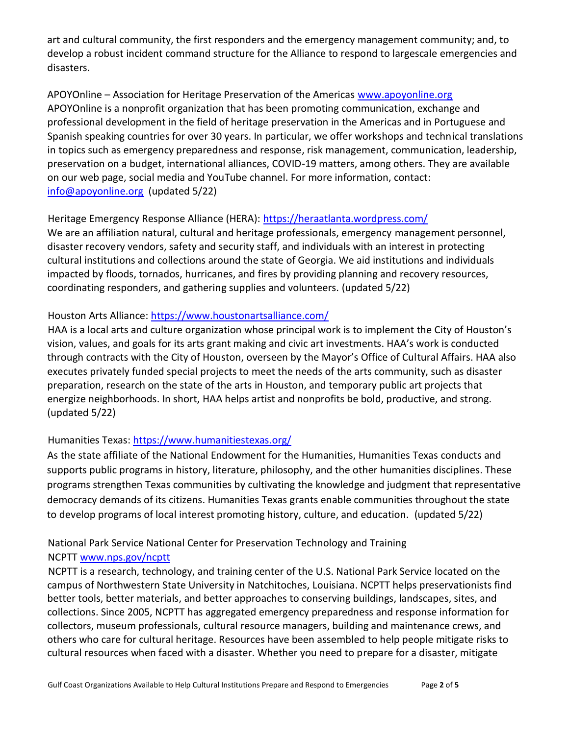art and cultural community, the first responders and the emergency management community; and, to develop a robust incident command structure for the Alliance to respond to largescale emergencies and disasters.

APOYOnline – Association for Heritage Preservation of the Americas www.apoyonline.org APOYOnline is a nonprofit organization that has been promoting communication, exchange and professional development in the field of heritage preservation in the Americas and in Portuguese and Spanish speaking countries for over 30 years. In particular, we offer workshops and technical translations in topics such as emergency preparedness and response, risk management, communication, leadership, preservation on a budget, international alliances, COVID-19 matters, among others. They are available on our web page, social media and YouTube channel. For more information, contact: info@apoyonline.org (updated 5/22)

Heritage Emergency Response Alliance (HERA): https://heraatlanta.wordpress.com/

We are an affiliation natural, cultural and heritage professionals, emergency management personnel, disaster recovery vendors, safety and security staff, and individuals with an interest in protecting cultural institutions and collections around the state of Georgia. We aid institutions and individuals impacted by floods, tornados, hurricanes, and fires by providing planning and recovery resources, coordinating responders, and gathering supplies and volunteers. (updated 5/22)

# Houston Arts Alliance: https://www.houstonartsalliance.com/

HAA is a local arts and culture organization whose principal work is to implement the City of Houston's vision, values, and goals for its arts grant making and civic art investments. HAA's work is conducted through contracts with the City of Houston, overseen by the Mayor's Office of Cultural Affairs. HAA also executes privately funded special projects to meet the needs of the arts community, such as disaster preparation, research on the state of the arts in Houston, and temporary public art projects that energize neighborhoods. In short, HAA helps artist and nonprofits be bold, productive, and strong. (updated 5/22)

# Humanities Texas: https://www.humanitiestexas.org/

As the state affiliate of the National Endowment for the Humanities, Humanities Texas conducts and supports public programs in history, literature, philosophy, and the other humanities disciplines. These programs strengthen Texas communities by cultivating the knowledge and judgment that representative democracy demands of its citizens. Humanities Texas grants enable communities throughout the state to develop programs of local interest promoting history, culture, and education. (updated 5/22)

### National Park Service National Center for Preservation Technology and Training NCPTT www.nps.gov/ncptt

NCPTT is a research, technology, and training center of the U.S. National Park Service located on the campus of Northwestern State University in Natchitoches, Louisiana. NCPTT helps preservationists find better tools, better materials, and better approaches to conserving buildings, landscapes, sites, and collections. Since 2005, NCPTT has aggregated emergency preparedness and response information for collectors, museum professionals, cultural resource managers, building and maintenance crews, and others who care for cultural heritage. Resources have been assembled to help people mitigate risks to cultural resources when faced with a disaster. Whether you need to prepare for a disaster, mitigate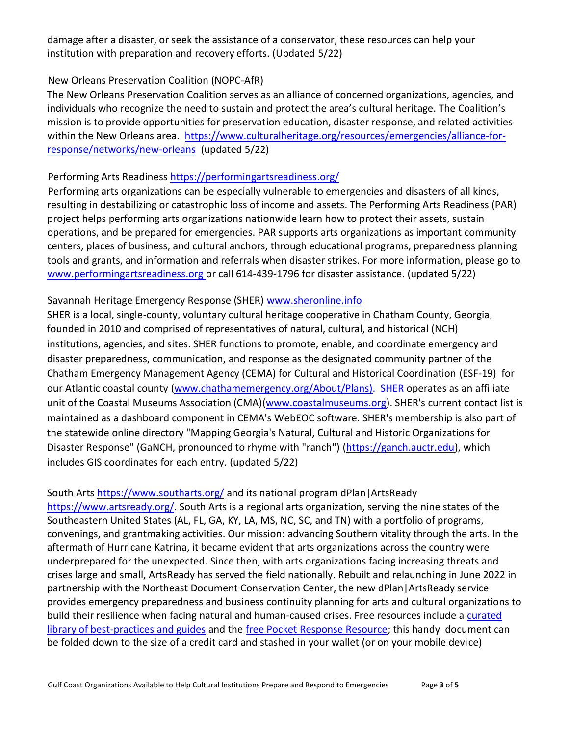damage after a disaster, or seek the assistance of a conservator, these resources can help your institution with preparation and recovery efforts. (Updated 5/22)

## New Orleans Preservation Coalition (NOPC-AfR)

The New Orleans Preservation Coalition serves as an alliance of concerned organizations, agencies, and individuals who recognize the need to sustain and protect the area's cultural heritage. The Coalition's mission is to provide opportunities for preservation education, disaster response, and related activities within the New Orleans area. https://www.culturalheritage.org/resources/emergencies/alliance-forresponse/networks/new-orleans (updated 5/22)

## Performing Arts Readiness https://performingartsreadiness.org/

Performing arts organizations can be especially vulnerable to emergencies and disasters of all kinds, resulting in destabilizing or catastrophic loss of income and assets. The Performing Arts Readiness (PAR) project helps performing arts organizations nationwide learn how to protect their assets, sustain operations, and be prepared for emergencies. PAR supports arts organizations as important community centers, places of business, and cultural anchors, through educational programs, preparedness planning tools and grants, and information and referrals when disaster strikes. For more information, please go to www.performingartsreadiness.org or call 614-439-1796 for disaster assistance. (updated 5/22)

## Savannah Heritage Emergency Response (SHER) www.sheronline.info

SHER is a local, single-county, voluntary cultural heritage cooperative in Chatham County, Georgia, founded in 2010 and comprised of representatives of natural, cultural, and historical (NCH) institutions, agencies, and sites. SHER functions to promote, enable, and coordinate emergency and disaster preparedness, communication, and response as the designated community partner of the Chatham Emergency Management Agency (CEMA) for Cultural and Historical Coordination (ESF-19) for our Atlantic coastal county (www.chathamemergency.org/About/Plans). SHER operates as an affiliate unit of the Coastal Museums Association (CMA)(www.coastalmuseums.org). SHER's current contact list is maintained as a dashboard component in CEMA's WebEOC software. SHER's membership is also part of the statewide online directory "Mapping Georgia's Natural, Cultural and Historic Organizations for Disaster Response" (GaNCH, pronounced to rhyme with "ranch") (https://ganch.auctr.edu), which includes GIS coordinates for each entry. (updated 5/22)

South Arts https://www.southarts.org/ and its national program dPlan|ArtsReady https://www.artsready.org/. South Arts is a regional arts organization, serving the nine states of the Southeastern United States (AL, FL, GA, KY, LA, MS, NC, SC, and TN) with a portfolio of programs, convenings, and grantmaking activities. Our mission: advancing Southern vitality through the arts. In the aftermath of Hurricane Katrina, it became evident that arts organizations across the country were underprepared for the unexpected. Since then, with arts organizations facing increasing threats and crises large and small, ArtsReady has served the field nationally. Rebuilt and relaunching in June 2022 in partnership with the Northeast Document Conservation Center, the new dPlan|ArtsReady service provides emergency preparedness and business continuity planning for arts and cultural organizations to build their resilience when facing natural and human-caused crises. Free resources include a curated library of best-practices and guides and the free Pocket Response Resource; this handy document can be folded down to the size of a credit card and stashed in your wallet (or on your mobile device)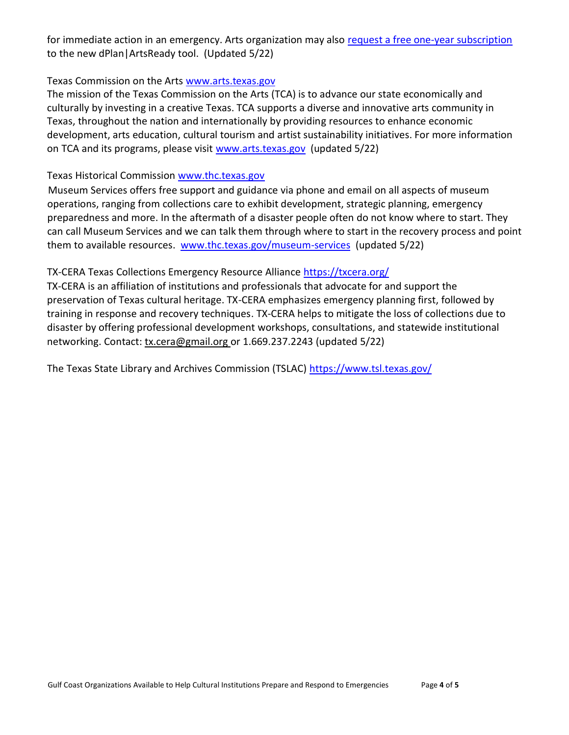for immediate action in an emergency. Arts organization may also request a free one-year subscription to the new dPlan|ArtsReady tool. (Updated 5/22)

#### Texas Commission on the Arts www.arts.texas.gov

The mission of the Texas Commission on the Arts (TCA) is to advance our state economically and culturally by investing in a creative Texas. TCA supports a diverse and innovative arts community in Texas, throughout the nation and internationally by providing resources to enhance economic development, arts education, cultural tourism and artist sustainability initiatives. For more information on TCA and its programs, please visit www.arts.texas.gov (updated 5/22)

## Texas Historical Commission www.thc.texas.gov

Museum Services offers free support and guidance via phone and email on all aspects of museum operations, ranging from collections care to exhibit development, strategic planning, emergency preparedness and more. In the aftermath of a disaster people often do not know where to start. They can call Museum Services and we can talk them through where to start in the recovery process and point them to available resources. www.thc.texas.gov/museum-services (updated 5/22)

# TX-CERA Texas Collections Emergency Resource Alliance https://txcera.org/

TX-CERA is an affiliation of institutions and professionals that advocate for and support the preservation of Texas cultural heritage. TX-CERA emphasizes emergency planning first, followed by training in response and recovery techniques. TX-CERA helps to mitigate the loss of collections due to disaster by offering professional development workshops, consultations, and statewide institutional networking. Contact: tx.cera@gmail.org or 1.669.237.2243 (updated 5/22)

The Texas State Library and Archives Commission (TSLAC) https://www.tsl.texas.gov/